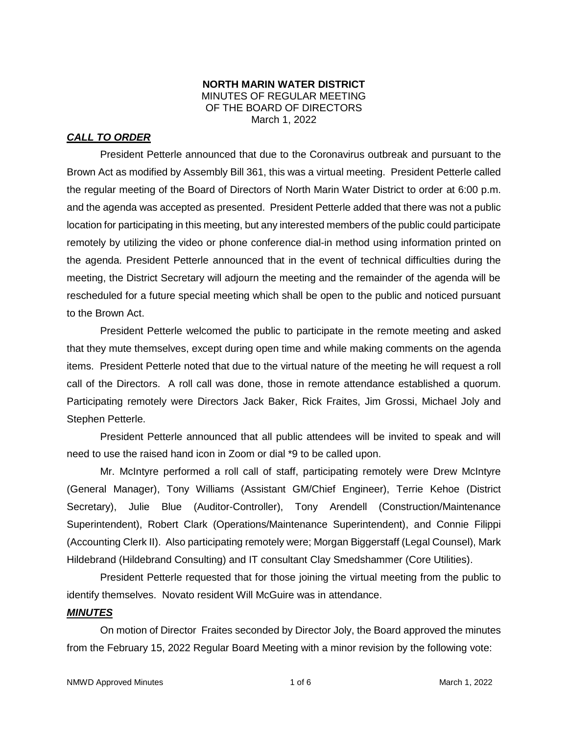#### **NORTH MARIN WATER DISTRICT** MINUTES OF REGULAR MEETING OF THE BOARD OF DIRECTORS March 1, 2022

# *CALL TO ORDER*

President Petterle announced that due to the Coronavirus outbreak and pursuant to the Brown Act as modified by Assembly Bill 361, this was a virtual meeting. President Petterle called the regular meeting of the Board of Directors of North Marin Water District to order at 6:00 p.m. and the agenda was accepted as presented. President Petterle added that there was not a public location for participating in this meeting, but any interested members of the public could participate remotely by utilizing the video or phone conference dial-in method using information printed on the agenda. President Petterle announced that in the event of technical difficulties during the meeting, the District Secretary will adjourn the meeting and the remainder of the agenda will be rescheduled for a future special meeting which shall be open to the public and noticed pursuant to the Brown Act.

President Petterle welcomed the public to participate in the remote meeting and asked that they mute themselves, except during open time and while making comments on the agenda items. President Petterle noted that due to the virtual nature of the meeting he will request a roll call of the Directors. A roll call was done, those in remote attendance established a quorum. Participating remotely were Directors Jack Baker, Rick Fraites, Jim Grossi, Michael Joly and Stephen Petterle.

President Petterle announced that all public attendees will be invited to speak and will need to use the raised hand icon in Zoom or dial \*9 to be called upon.

Mr. McIntyre performed a roll call of staff, participating remotely were Drew McIntyre (General Manager), Tony Williams (Assistant GM/Chief Engineer), Terrie Kehoe (District Secretary), Julie Blue (Auditor-Controller), Tony Arendell (Construction/Maintenance Superintendent), Robert Clark (Operations/Maintenance Superintendent), and Connie Filippi (Accounting Clerk II). Also participating remotely were; Morgan Biggerstaff (Legal Counsel), Mark Hildebrand (Hildebrand Consulting) and IT consultant Clay Smedshammer (Core Utilities).

President Petterle requested that for those joining the virtual meeting from the public to identify themselves. Novato resident Will McGuire was in attendance.

#### *MINUTES*

On motion of Director Fraites seconded by Director Joly, the Board approved the minutes from the February 15, 2022 Regular Board Meeting with a minor revision by the following vote: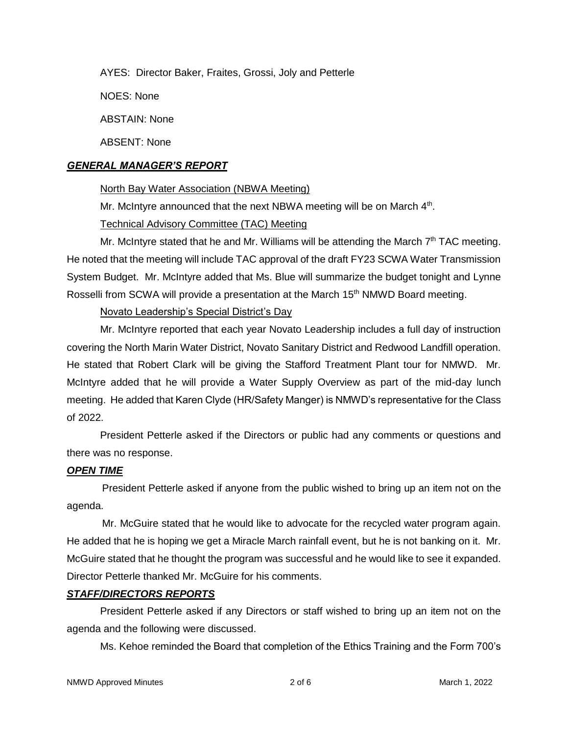AYES: Director Baker, Fraites, Grossi, Joly and Petterle

NOES: None

ABSTAIN: None

ABSENT: None

### *GENERAL MANAGER'S REPORT*

### North Bay Water Association (NBWA Meeting)

Mr. McIntyre announced that the next NBWA meeting will be on March 4<sup>th</sup>.

# Technical Advisory Committee (TAC) Meeting

Mr. McIntyre stated that he and Mr. Williams will be attending the March  $7<sup>th</sup> TAC$  meeting. He noted that the meeting will include TAC approval of the draft FY23 SCWA Water Transmission System Budget. Mr. McIntyre added that Ms. Blue will summarize the budget tonight and Lynne Rosselli from SCWA will provide a presentation at the March 15<sup>th</sup> NMWD Board meeting.

# Novato Leadership's Special District's Day

Mr. McIntyre reported that each year Novato Leadership includes a full day of instruction covering the North Marin Water District, Novato Sanitary District and Redwood Landfill operation. He stated that Robert Clark will be giving the Stafford Treatment Plant tour for NMWD. Mr. McIntyre added that he will provide a Water Supply Overview as part of the mid-day lunch meeting. He added that Karen Clyde (HR/Safety Manger) is NMWD's representative for the Class of 2022.

President Petterle asked if the Directors or public had any comments or questions and there was no response.

# *OPEN TIME*

President Petterle asked if anyone from the public wished to bring up an item not on the agenda.

Mr. McGuire stated that he would like to advocate for the recycled water program again. He added that he is hoping we get a Miracle March rainfall event, but he is not banking on it. Mr. McGuire stated that he thought the program was successful and he would like to see it expanded. Director Petterle thanked Mr. McGuire for his comments.

# *STAFF/DIRECTORS REPORTS*

President Petterle asked if any Directors or staff wished to bring up an item not on the agenda and the following were discussed.

Ms. Kehoe reminded the Board that completion of the Ethics Training and the Form 700's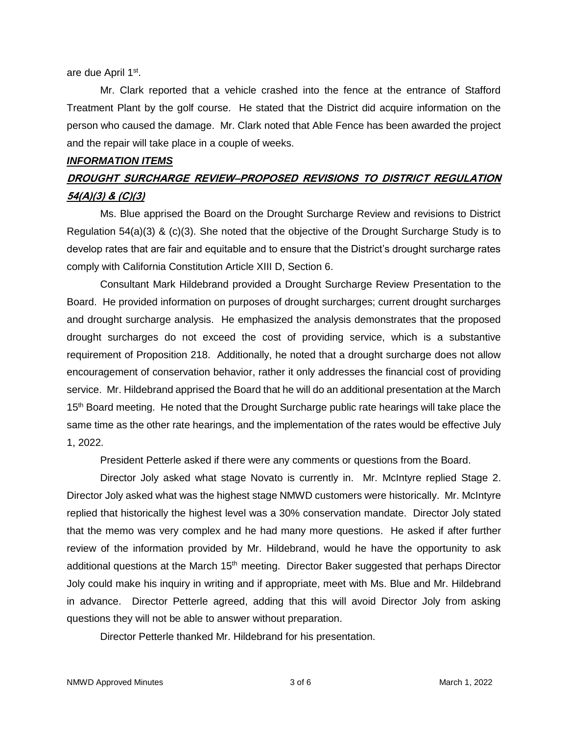are due April 1<sup>st</sup>.

Mr. Clark reported that a vehicle crashed into the fence at the entrance of Stafford Treatment Plant by the golf course. He stated that the District did acquire information on the person who caused the damage. Mr. Clark noted that Able Fence has been awarded the project and the repair will take place in a couple of weeks.

#### *INFORMATION ITEMS*

# **DROUGHT SURCHARGE REVIEW–PROPOSED REVISIONS TO DISTRICT REGULATION 54(A)(3) & (C)(3)**

Ms. Blue apprised the Board on the Drought Surcharge Review and revisions to District Regulation 54(a)(3) & (c)(3). She noted that the objective of the Drought Surcharge Study is to develop rates that are fair and equitable and to ensure that the District's drought surcharge rates comply with California Constitution Article XIII D, Section 6.

Consultant Mark Hildebrand provided a Drought Surcharge Review Presentation to the Board. He provided information on purposes of drought surcharges; current drought surcharges and drought surcharge analysis. He emphasized the analysis demonstrates that the proposed drought surcharges do not exceed the cost of providing service, which is a substantive requirement of Proposition 218. Additionally, he noted that a drought surcharge does not allow encouragement of conservation behavior, rather it only addresses the financial cost of providing service. Mr. Hildebrand apprised the Board that he will do an additional presentation at the March 15<sup>th</sup> Board meeting. He noted that the Drought Surcharge public rate hearings will take place the same time as the other rate hearings, and the implementation of the rates would be effective July 1, 2022.

President Petterle asked if there were any comments or questions from the Board.

Director Joly asked what stage Novato is currently in. Mr. McIntyre replied Stage 2. Director Joly asked what was the highest stage NMWD customers were historically. Mr. McIntyre replied that historically the highest level was a 30% conservation mandate. Director Joly stated that the memo was very complex and he had many more questions. He asked if after further review of the information provided by Mr. Hildebrand, would he have the opportunity to ask additional questions at the March  $15<sup>th</sup>$  meeting. Director Baker suggested that perhaps Director Joly could make his inquiry in writing and if appropriate, meet with Ms. Blue and Mr. Hildebrand in advance. Director Petterle agreed, adding that this will avoid Director Joly from asking questions they will not be able to answer without preparation.

Director Petterle thanked Mr. Hildebrand for his presentation.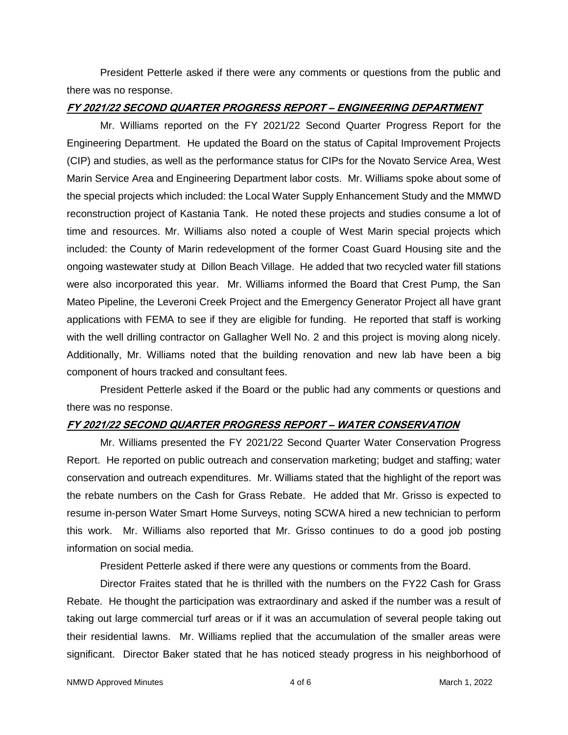President Petterle asked if there were any comments or questions from the public and there was no response.

#### **FY 2021/22 SECOND QUARTER PROGRESS REPORT – ENGINEERING DEPARTMENT**

Mr. Williams reported on the FY 2021/22 Second Quarter Progress Report for the Engineering Department. He updated the Board on the status of Capital Improvement Projects (CIP) and studies, as well as the performance status for CIPs for the Novato Service Area, West Marin Service Area and Engineering Department labor costs. Mr. Williams spoke about some of the special projects which included: the Local Water Supply Enhancement Study and the MMWD reconstruction project of Kastania Tank. He noted these projects and studies consume a lot of time and resources. Mr. Williams also noted a couple of West Marin special projects which included: the County of Marin redevelopment of the former Coast Guard Housing site and the ongoing wastewater study at Dillon Beach Village. He added that two recycled water fill stations were also incorporated this year. Mr. Williams informed the Board that Crest Pump, the San Mateo Pipeline, the Leveroni Creek Project and the Emergency Generator Project all have grant applications with FEMA to see if they are eligible for funding. He reported that staff is working with the well drilling contractor on Gallagher Well No. 2 and this project is moving along nicely. Additionally, Mr. Williams noted that the building renovation and new lab have been a big component of hours tracked and consultant fees.

President Petterle asked if the Board or the public had any comments or questions and there was no response.

#### **FY 2021/22 SECOND QUARTER PROGRESS REPORT – WATER CONSERVATION**

Mr. Williams presented the FY 2021/22 Second Quarter Water Conservation Progress Report. He reported on public outreach and conservation marketing; budget and staffing; water conservation and outreach expenditures. Mr. Williams stated that the highlight of the report was the rebate numbers on the Cash for Grass Rebate. He added that Mr. Grisso is expected to resume in-person Water Smart Home Surveys, noting SCWA hired a new technician to perform this work. Mr. Williams also reported that Mr. Grisso continues to do a good job posting information on social media.

President Petterle asked if there were any questions or comments from the Board.

Director Fraites stated that he is thrilled with the numbers on the FY22 Cash for Grass Rebate. He thought the participation was extraordinary and asked if the number was a result of taking out large commercial turf areas or if it was an accumulation of several people taking out their residential lawns. Mr. Williams replied that the accumulation of the smaller areas were significant. Director Baker stated that he has noticed steady progress in his neighborhood of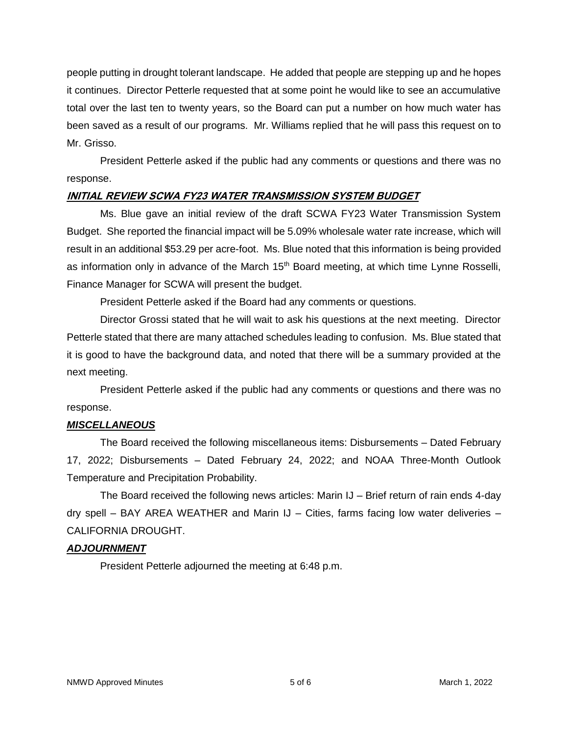people putting in drought tolerant landscape. He added that people are stepping up and he hopes it continues. Director Petterle requested that at some point he would like to see an accumulative total over the last ten to twenty years, so the Board can put a number on how much water has been saved as a result of our programs. Mr. Williams replied that he will pass this request on to Mr. Grisso.

President Petterle asked if the public had any comments or questions and there was no response.

#### **INITIAL REVIEW SCWA FY23 WATER TRANSMISSION SYSTEM BUDGET**

Ms. Blue gave an initial review of the draft SCWA FY23 Water Transmission System Budget. She reported the financial impact will be 5.09% wholesale water rate increase, which will result in an additional \$53.29 per acre-foot. Ms. Blue noted that this information is being provided as information only in advance of the March  $15<sup>th</sup>$  Board meeting, at which time Lynne Rosselli, Finance Manager for SCWA will present the budget.

President Petterle asked if the Board had any comments or questions.

Director Grossi stated that he will wait to ask his questions at the next meeting. Director Petterle stated that there are many attached schedules leading to confusion. Ms. Blue stated that it is good to have the background data, and noted that there will be a summary provided at the next meeting.

President Petterle asked if the public had any comments or questions and there was no response.

# *MISCELLANEOUS*

The Board received the following miscellaneous items: Disbursements – Dated February 17, 2022; Disbursements – Dated February 24, 2022; and NOAA Three-Month Outlook Temperature and Precipitation Probability.

The Board received the following news articles: Marin IJ – Brief return of rain ends 4-day dry spell – BAY AREA WEATHER and Marin  $J$  – Cities, farms facing low water deliveries – CALIFORNIA DROUGHT.

#### *ADJOURNMENT*

President Petterle adjourned the meeting at 6:48 p.m.